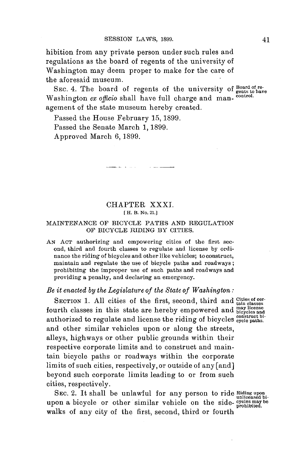hibition from any private person under such rules and regulations as the board of regents of the university of Washington may deem proper to make for the care of the aforesaid museum.

SEC. 4. The board of regents of the university of **Board** Washington *ex* officio shall have full charge and man- **control.** agement of the state museum hereby created.

and the company of the company of the company of the company of the company of the company of the company of the company of the company of the company of the company of the company of the company of the company of the comp

Passed the House February **15, 1899.**

ana na mara

Passed the Senate March **1, 1899.**

Approved March **6,1899.**

# CHAPTER XXXI. **[ H. B. No. 21.]**

#### **MAINTENANCE OF BICYCLE PATHS AND REGULATION OF BICYCLE RIDING BY CITIES.**

**AN ACT authorizing and** empowering cities of the first second, third and fourth classes to regulate and license **by** ordinance the riding of bicycles and other like vehicles; to construct, maintain and regulate the use of bicycle paths and roadways; prohibiting the improper use of such paths and roadways and **providing a penalty, and declaring an emergency.**

# *Be it enacted by the Legislature of the State of Washington:*

SECTION 1. All cities of the first, second, third and **Cities** of ce fourth classes in this state are hereby empowered and  $_{\text{bicycles}}^{\text{may license}}$ authorized to regulate and license the riding of bicycles paths. and other similar vehicles upon or along the streets, alleys, highways or other public grounds within their respective corporate limits and to construct and maintain bicycle paths or roadways within the corporate limits of such cities, respectively, or outside of any [and] beyond such corporate limits leading to or from such cities, respectively.

SEC. 2. It shall be unlawful for any person to ride **Riding upon** unlicensed biupon a bicycle or other similar vehicle on the side- **creases** may be upon a bicycle or other similar vehicle on the side- **creases** may be walks of any city of the first, second, third or fourth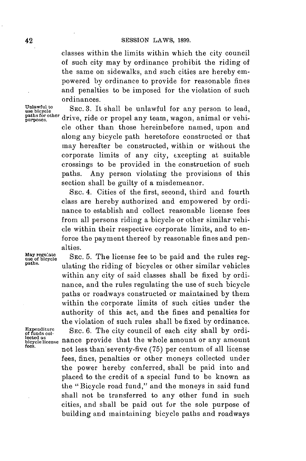classes within the limits within which the city council of such city may **by** ordinance prohibit the riding of the same on sidewalks, and such cities are hereby empowered **by** ordinance to provide for reasonable fines and penalties to be imposed for the violation of such ordinances.

paths for other<br>purposes.

Unlawful to SEC. 3. It shall be unlawful for any person to lead, drive, ride or propel any team, wagon, animal or vehicle other than those hereinbefore named, upon and along any bicycle path heretofore constructed or that may hereafter be constructed, within or without the corporate limits of any city, excepting at suitable crossings to be provided in the construction of such paths. Any person violating the provisions of this section shall be guilty of a misdemeanor.

> **SEC.** 4. Cities of the first, second, third and fourth class are hereby authorized and empowered **by** ordinance to establish and collect reasonable license fees from all persons riding a bicycle or other similar vehicle within their respective corporate limits, and to enforce the payment thereof **by** reasonable fines and penalties.

**May regulatepadr- use of bicycle SEC. 5.** The license fee to be paid and the rules reg- **paths.** ulating the riding of bicycles or other similar vehicles within any city of said classes shall be fixed **by** ordinance, and the rules regulating the use of such bicycle paths or roadways constructed or maintained **by** them within the corporate limits of such cities under the authority of this act, and the fines and penalties for the violation of such rules shall be fixed **by** ordinance.

**fuendistue SEC. 6.** The city council of each city shall **by** ordilected as<br>bicycle license **nance** provide that the whole amount or any amount not less than seventy-five (75) per centum of all license fees, fines, penalties or other moneys collected under the power hereby conferred, shall be paid into and placed to the credit of a special fund to be known as the **"** Bicycle road fund," and the moneys in said fund shall not be transferred to any other fund in such cities, and shall be paid out for the sole purpose of building and maintaining bicycle paths and roadways